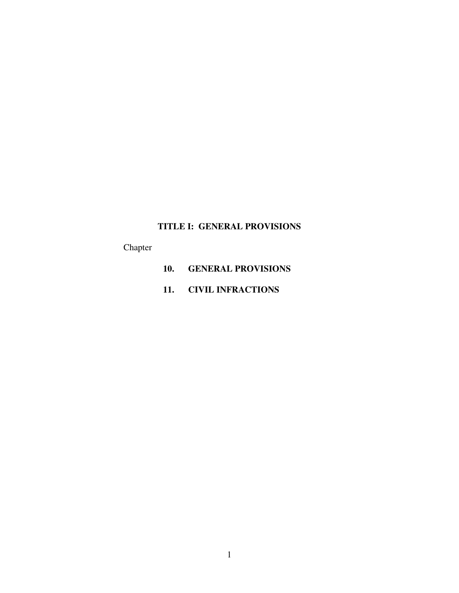# **TITLE I: GENERAL PROVISIONS**

Chapter

- **10. GENERAL PROVISIONS**
- **11. CIVIL INFRACTIONS**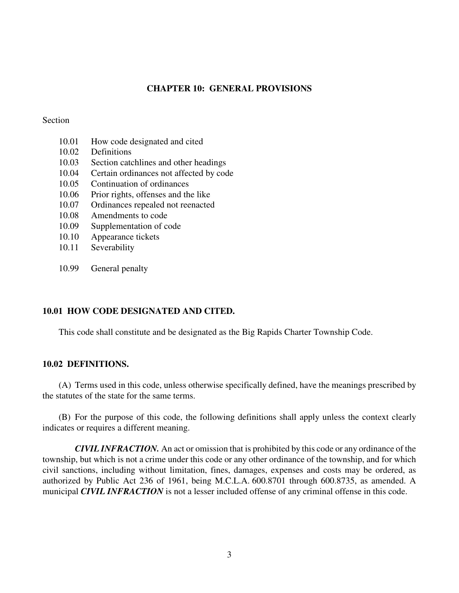# **CHAPTER 10: GENERAL PROVISIONS**

# Section

- 10.01 How code designated and cited
- 10.02 Definitions
- 10.03 Section catchlines and other headings
- 10.04 Certain ordinances not affected by code
- 10.05 Continuation of ordinances
- 10.06 Prior rights, offenses and the like
- 10.07 Ordinances repealed not reenacted
- 10.08 Amendments to code
- 10.09 Supplementation of code
- 10.10 Appearance tickets
- 10.11 Severability
- 10.99 General penalty

# **10.01 HOW CODE DESIGNATED AND CITED.**

This code shall constitute and be designated as the Big Rapids Charter Township Code.

## **10.02 DEFINITIONS.**

(A) Terms used in this code, unless otherwise specifically defined, have the meanings prescribed by the statutes of the state for the same terms.

(B) For the purpose of this code, the following definitions shall apply unless the context clearly indicates or requires a different meaning.

*CIVIL INFRACTION.* An act or omission that is prohibited by this code or any ordinance of the township, but which is not a crime under this code or any other ordinance of the township, and for which civil sanctions, including without limitation, fines, damages, expenses and costs may be ordered, as authorized by Public Act 236 of 1961, being M.C.L.A. 600.8701 through 600.8735, as amended. A municipal *CIVIL INFRACTION* is not a lesser included offense of any criminal offense in this code.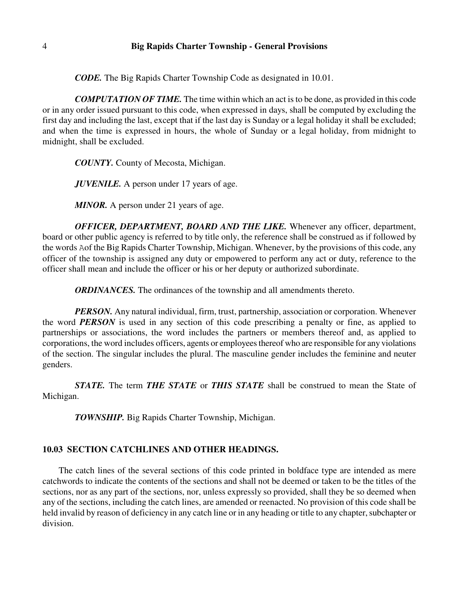# 4 **Big Rapids Charter Township - General Provisions**

*CODE.* The Big Rapids Charter Township Code as designated in 10.01.

*COMPUTATION OF TIME.* The time within which an act is to be done, as provided in this code or in any order issued pursuant to this code, when expressed in days, shall be computed by excluding the first day and including the last, except that if the last day is Sunday or a legal holiday it shall be excluded; and when the time is expressed in hours, the whole of Sunday or a legal holiday, from midnight to midnight, shall be excluded.

*COUNTY.* County of Mecosta, Michigan.

*JUVENILE*. A person under 17 years of age.

*MINOR.* A person under 21 years of age.

*OFFICER, DEPARTMENT, BOARD AND THE LIKE.* Whenever any officer, department, board or other public agency is referred to by title only, the reference shall be construed as if followed by the words Aof the Big Rapids Charter Township, Michigan. Whenever, by the provisions of this code, any officer of the township is assigned any duty or empowered to perform any act or duty, reference to the officer shall mean and include the officer or his or her deputy or authorized subordinate.

*ORDINANCES.* The ordinances of the township and all amendments thereto.

*PERSON*. Any natural individual, firm, trust, partnership, association or corporation. Whenever the word *PERSON* is used in any section of this code prescribing a penalty or fine, as applied to partnerships or associations, the word includes the partners or members thereof and, as applied to corporations, the word includes officers, agents or employees thereof who are responsible for any violations of the section. The singular includes the plural. The masculine gender includes the feminine and neuter genders.

*STATE.* The term *THE STATE* or *THIS STATE* shall be construed to mean the State of Michigan.

*TOWNSHIP.* Big Rapids Charter Township, Michigan.

# **10.03 SECTION CATCHLINES AND OTHER HEADINGS.**

The catch lines of the several sections of this code printed in boldface type are intended as mere catchwords to indicate the contents of the sections and shall not be deemed or taken to be the titles of the sections, nor as any part of the sections, nor, unless expressly so provided, shall they be so deemed when any of the sections, including the catch lines, are amended or reenacted. No provision of this code shall be held invalid by reason of deficiency in any catch line or in any heading or title to any chapter, subchapter or division.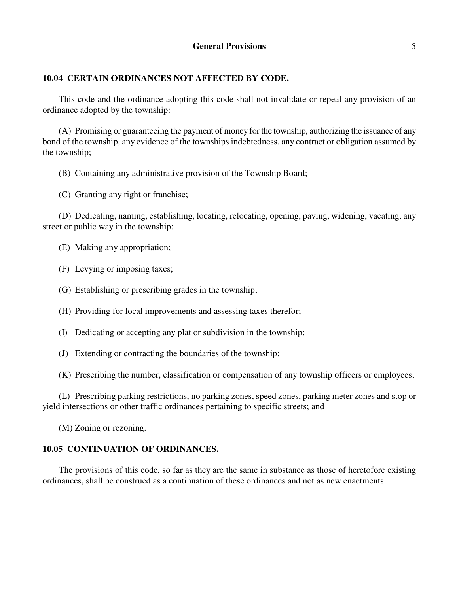# **10.04 CERTAIN ORDINANCES NOT AFFECTED BY CODE.**

This code and the ordinance adopting this code shall not invalidate or repeal any provision of an ordinance adopted by the township:

(A) Promising or guaranteeing the payment of money for the township, authorizing the issuance of any bond of the township, any evidence of the townships indebtedness, any contract or obligation assumed by the township;

- (B) Containing any administrative provision of the Township Board;
- (C) Granting any right or franchise;

(D) Dedicating, naming, establishing, locating, relocating, opening, paving, widening, vacating, any street or public way in the township;

- (E) Making any appropriation;
- (F) Levying or imposing taxes;
- (G) Establishing or prescribing grades in the township;
- (H) Providing for local improvements and assessing taxes therefor;
- (I) Dedicating or accepting any plat or subdivision in the township;
- (J) Extending or contracting the boundaries of the township;
- (K) Prescribing the number, classification or compensation of any township officers or employees;

(L) Prescribing parking restrictions, no parking zones, speed zones, parking meter zones and stop or yield intersections or other traffic ordinances pertaining to specific streets; and

(M) Zoning or rezoning.

# **10.05 CONTINUATION OF ORDINANCES.**

The provisions of this code, so far as they are the same in substance as those of heretofore existing ordinances, shall be construed as a continuation of these ordinances and not as new enactments.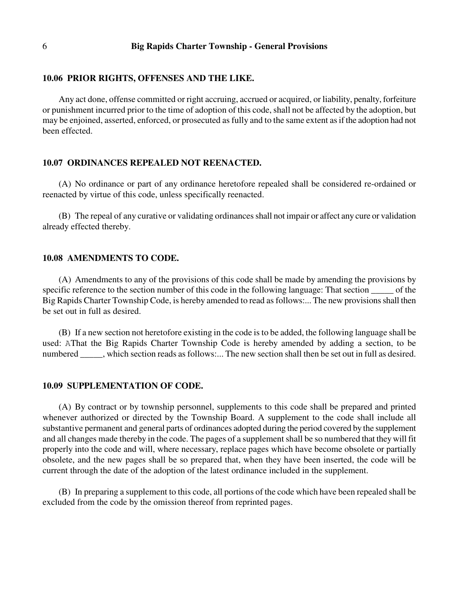#### 6 **Big Rapids Charter Township - General Provisions**

#### **10.06 PRIOR RIGHTS, OFFENSES AND THE LIKE.**

Any act done, offense committed or right accruing, accrued or acquired, or liability, penalty, forfeiture or punishment incurred prior to the time of adoption of this code, shall not be affected by the adoption, but may be enjoined, asserted, enforced, or prosecuted as fully and to the same extent as if the adoption had not been effected.

#### **10.07 ORDINANCES REPEALED NOT REENACTED.**

(A) No ordinance or part of any ordinance heretofore repealed shall be considered re-ordained or reenacted by virtue of this code, unless specifically reenacted.

(B) The repeal of any curative or validating ordinances shall not impair or affect any cure or validation already effected thereby.

### **10.08 AMENDMENTS TO CODE.**

(A) Amendments to any of the provisions of this code shall be made by amending the provisions by specific reference to the section number of this code in the following language: That section \_\_\_\_\_\_ of the Big Rapids Charter Township Code, is hereby amended to read as follows:... The new provisions shall then be set out in full as desired.

(B) If a new section not heretofore existing in the code is to be added, the following language shall be used: AThat the Big Rapids Charter Township Code is hereby amended by adding a section, to be numbered \_\_\_\_\_, which section reads as follows:... The new section shall then be set out in full as desired.

#### **10.09 SUPPLEMENTATION OF CODE.**

(A) By contract or by township personnel, supplements to this code shall be prepared and printed whenever authorized or directed by the Township Board. A supplement to the code shall include all substantive permanent and general parts of ordinances adopted during the period covered by the supplement and all changes made thereby in the code. The pages of a supplement shall be so numbered that they will fit properly into the code and will, where necessary, replace pages which have become obsolete or partially obsolete, and the new pages shall be so prepared that, when they have been inserted, the code will be current through the date of the adoption of the latest ordinance included in the supplement.

(B) In preparing a supplement to this code, all portions of the code which have been repealed shall be excluded from the code by the omission thereof from reprinted pages.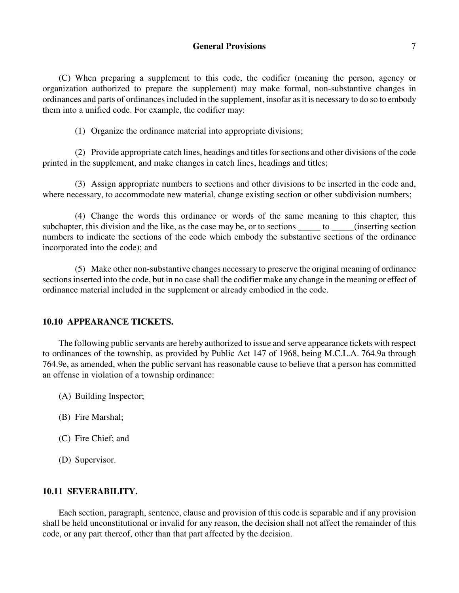# **General Provisions** 7

(C) When preparing a supplement to this code, the codifier (meaning the person, agency or organization authorized to prepare the supplement) may make formal, non-substantive changes in ordinances and parts of ordinances included in the supplement, insofar as it is necessary to do so to embody them into a unified code. For example, the codifier may:

(1) Organize the ordinance material into appropriate divisions;

(2) Provide appropriate catch lines, headings and titles for sections and other divisions of the code printed in the supplement, and make changes in catch lines, headings and titles;

(3) Assign appropriate numbers to sections and other divisions to be inserted in the code and, where necessary, to accommodate new material, change existing section or other subdivision numbers;

(4) Change the words this ordinance or words of the same meaning to this chapter, this subchapter, this division and the like, as the case may be, or to sections \_\_\_\_\_\_ to \_\_\_\_\_(inserting section numbers to indicate the sections of the code which embody the substantive sections of the ordinance incorporated into the code); and

(5) Make other non-substantive changes necessary to preserve the original meaning of ordinance sections inserted into the code, but in no case shall the codifier make any change in the meaning or effect of ordinance material included in the supplement or already embodied in the code.

# **10.10 APPEARANCE TICKETS.**

The following public servants are hereby authorized to issue and serve appearance tickets with respect to ordinances of the township, as provided by Public Act 147 of 1968, being M.C.L.A. 764.9a through 764.9e, as amended, when the public servant has reasonable cause to believe that a person has committed an offense in violation of a township ordinance:

- (A) Building Inspector;
- (B) Fire Marshal;
- (C) Fire Chief; and
- (D) Supervisor.

# **10.11 SEVERABILITY.**

Each section, paragraph, sentence, clause and provision of this code is separable and if any provision shall be held unconstitutional or invalid for any reason, the decision shall not affect the remainder of this code, or any part thereof, other than that part affected by the decision.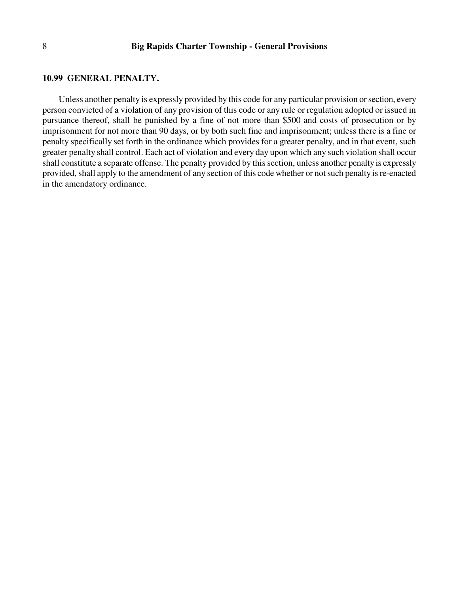#### **10.99 GENERAL PENALTY.**

Unless another penalty is expressly provided by this code for any particular provision or section, every person convicted of a violation of any provision of this code or any rule or regulation adopted or issued in pursuance thereof, shall be punished by a fine of not more than \$500 and costs of prosecution or by imprisonment for not more than 90 days, or by both such fine and imprisonment; unless there is a fine or penalty specifically set forth in the ordinance which provides for a greater penalty, and in that event, such greater penalty shall control. Each act of violation and every day upon which any such violation shall occur shall constitute a separate offense. The penalty provided by this section, unless another penalty is expressly provided, shall apply to the amendment of any section of this code whether or not such penalty is re-enacted in the amendatory ordinance.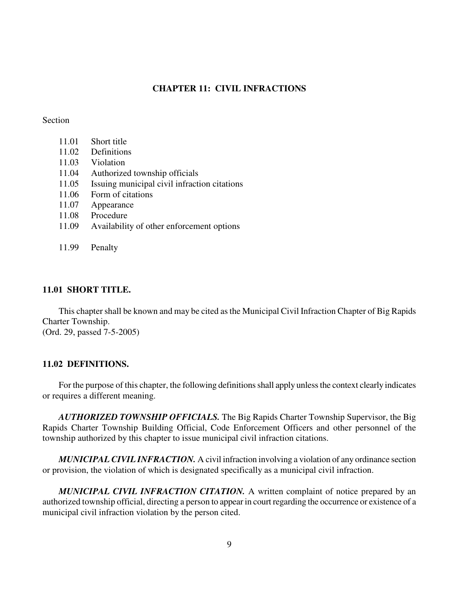# **CHAPTER 11: CIVIL INFRACTIONS**

### Section

|       | 11.01 Short title         |
|-------|---------------------------|
| 11.02 | Definitions               |
| 11.03 | Violation                 |
|       | 11.04 Authorized township |
| 1107  |                           |

11.05 Issuing municipal civil infraction citations

officials

- 11.06 Form of citations
- 11.07 Appearance
- 11.08 Procedure
- 11.09 Availability of other enforcement options
- 11.99 Penalty

# **11.01 SHORT TITLE.**

This chapter shall be known and may be cited as the Municipal Civil Infraction Chapter of Big Rapids Charter Township. (Ord. 29, passed 7-5-2005)

## **11.02 DEFINITIONS.**

For the purpose of this chapter, the following definitions shall apply unless the context clearly indicates or requires a different meaning.

*AUTHORIZED TOWNSHIP OFFICIALS.* The Big Rapids Charter Township Supervisor, the Big Rapids Charter Township Building Official, Code Enforcement Officers and other personnel of the township authorized by this chapter to issue municipal civil infraction citations.

*MUNICIPAL CIVIL INFRACTION.* A civil infraction involving a violation of any ordinance section or provision, the violation of which is designated specifically as a municipal civil infraction.

*MUNICIPAL CIVIL INFRACTION CITATION.* A written complaint of notice prepared by an authorized township official, directing a person to appear in court regarding the occurrence or existence of a municipal civil infraction violation by the person cited.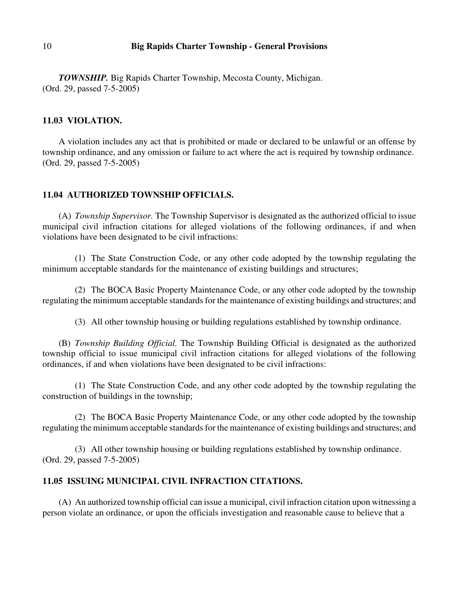# 10 **Big Rapids Charter Township - General Provisions**

*TOWNSHIP.* Big Rapids Charter Township, Mecosta County, Michigan. (Ord. 29, passed 7-5-2005)

## **11.03 VIOLATION.**

A violation includes any act that is prohibited or made or declared to be unlawful or an offense by township ordinance, and any omission or failure to act where the act is required by township ordinance. (Ord. 29, passed 7-5-2005)

# **11.04 AUTHORIZED TOWNSHIP OFFICIALS.**

(A) *Township Supervisor.* The Township Supervisor is designated as the authorized official to issue municipal civil infraction citations for alleged violations of the following ordinances, if and when violations have been designated to be civil infractions:

(1) The State Construction Code, or any other code adopted by the township regulating the minimum acceptable standards for the maintenance of existing buildings and structures;

(2) The BOCA Basic Property Maintenance Code, or any other code adopted by the township regulating the minimum acceptable standards for the maintenance of existing buildings and structures; and

(3) All other township housing or building regulations established by township ordinance.

(B) *Township Building Official.* The Township Building Official is designated as the authorized township official to issue municipal civil infraction citations for alleged violations of the following ordinances, if and when violations have been designated to be civil infractions:

(1) The State Construction Code, and any other code adopted by the township regulating the construction of buildings in the township;

(2) The BOCA Basic Property Maintenance Code, or any other code adopted by the township regulating the minimum acceptable standards for the maintenance of existing buildings and structures; and

(3) All other township housing or building regulations established by township ordinance. (Ord. 29, passed 7-5-2005)

# **11.05 ISSUING MUNICIPAL CIVIL INFRACTION CITATIONS.**

(A) An authorized township official can issue a municipal, civil infraction citation upon witnessing a person violate an ordinance, or upon the officials investigation and reasonable cause to believe that a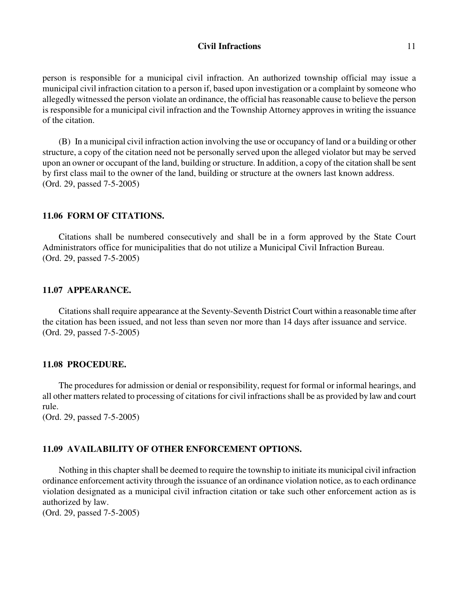## **Civil Infractions** 11

person is responsible for a municipal civil infraction. An authorized township official may issue a municipal civil infraction citation to a person if, based upon investigation or a complaint by someone who allegedly witnessed the person violate an ordinance, the official has reasonable cause to believe the person is responsible for a municipal civil infraction and the Township Attorney approves in writing the issuance of the citation.

(B) In a municipal civil infraction action involving the use or occupancy of land or a building or other structure, a copy of the citation need not be personally served upon the alleged violator but may be served upon an owner or occupant of the land, building or structure. In addition, a copy of the citation shall be sent by first class mail to the owner of the land, building or structure at the owners last known address. (Ord. 29, passed 7-5-2005)

# **11.06 FORM OF CITATIONS.**

Citations shall be numbered consecutively and shall be in a form approved by the State Court Administrators office for municipalities that do not utilize a Municipal Civil Infraction Bureau. (Ord. 29, passed 7-5-2005)

# **11.07 APPEARANCE.**

Citations shall require appearance at the Seventy-Seventh District Court within a reasonable time after the citation has been issued, and not less than seven nor more than 14 days after issuance and service. (Ord. 29, passed 7-5-2005)

## **11.08 PROCEDURE.**

The procedures for admission or denial or responsibility, request for formal or informal hearings, and all other matters related to processing of citations for civil infractions shall be as provided by law and court rule.

(Ord. 29, passed 7-5-2005)

#### **11.09 AVAILABILITY OF OTHER ENFORCEMENT OPTIONS.**

Nothing in this chapter shall be deemed to require the township to initiate its municipal civil infraction ordinance enforcement activity through the issuance of an ordinance violation notice, as to each ordinance violation designated as a municipal civil infraction citation or take such other enforcement action as is authorized by law.

(Ord. 29, passed 7-5-2005)